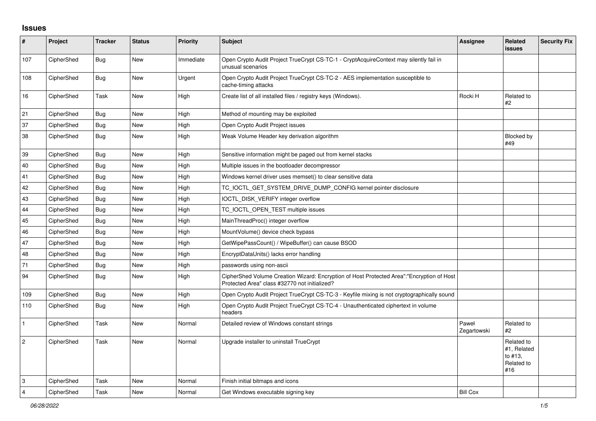## **Issues**

| #            | <b>Project</b> | <b>Tracker</b> | <b>Status</b> | <b>Priority</b> | <b>Subject</b>                                                                                                                             | Assignee             | <b>Related</b><br><b>issues</b>                           | <b>Security Fix</b> |
|--------------|----------------|----------------|---------------|-----------------|--------------------------------------------------------------------------------------------------------------------------------------------|----------------------|-----------------------------------------------------------|---------------------|
| 107          | CipherShed     | <b>Bug</b>     | <b>New</b>    | Immediate       | Open Crypto Audit Project TrueCrypt CS-TC-1 - CryptAcquireContext may silently fail in<br>unusual scenarios                                |                      |                                                           |                     |
| 108          | CipherShed     | <b>Bug</b>     | New           | Urgent          | Open Crypto Audit Project TrueCrypt CS-TC-2 - AES implementation susceptible to<br>cache-timing attacks                                    |                      |                                                           |                     |
| 16           | CipherShed     | Task           | New           | High            | Create list of all installed files / registry keys (Windows).                                                                              | Rocki H              | Related to<br>#2                                          |                     |
| 21           | CipherShed     | Bug            | <b>New</b>    | High            | Method of mounting may be exploited                                                                                                        |                      |                                                           |                     |
| 37           | CipherShed     | Bug            | <b>New</b>    | High            | Open Crypto Audit Project issues                                                                                                           |                      |                                                           |                     |
| 38           | CipherShed     | Bug            | <b>New</b>    | High            | Weak Volume Header key derivation algorithm                                                                                                |                      | Blocked by<br>#49                                         |                     |
| 39           | CipherShed     | <b>Bug</b>     | <b>New</b>    | High            | Sensitive information might be paged out from kernel stacks                                                                                |                      |                                                           |                     |
| 40           | CipherShed     | Bug            | <b>New</b>    | High            | Multiple issues in the bootloader decompressor                                                                                             |                      |                                                           |                     |
| 41           | CipherShed     | <b>Bug</b>     | New           | High            | Windows kernel driver uses memset() to clear sensitive data                                                                                |                      |                                                           |                     |
| 42           | CipherShed     | <b>Bug</b>     | <b>New</b>    | High            | TC_IOCTL_GET_SYSTEM_DRIVE_DUMP_CONFIG kernel pointer disclosure                                                                            |                      |                                                           |                     |
| 43           | CipherShed     | <b>Bug</b>     | <b>New</b>    | High            | IOCTL_DISK_VERIFY integer overflow                                                                                                         |                      |                                                           |                     |
| 44           | CipherShed     | <b>Bug</b>     | <b>New</b>    | High            | TC_IOCTL_OPEN_TEST multiple issues                                                                                                         |                      |                                                           |                     |
| 45           | CipherShed     | Bug            | New           | High            | MainThreadProc() integer overflow                                                                                                          |                      |                                                           |                     |
| 46           | CipherShed     | <b>Bug</b>     | New           | High            | MountVolume() device check bypass                                                                                                          |                      |                                                           |                     |
| 47           | CipherShed     | <b>Bug</b>     | <b>New</b>    | High            | GetWipePassCount() / WipeBuffer() can cause BSOD                                                                                           |                      |                                                           |                     |
| 48           | CipherShed     | <b>Bug</b>     | <b>New</b>    | High            | EncryptDataUnits() lacks error handling                                                                                                    |                      |                                                           |                     |
| 71           | CipherShed     | Bug            | <b>New</b>    | High            | passwords using non-ascii                                                                                                                  |                      |                                                           |                     |
| 94           | CipherShed     | Bug            | New           | High            | CipherShed Volume Creation Wizard: Encryption of Host Protected Area":"Encryption of Host<br>Protected Area" class #32770 not initialized? |                      |                                                           |                     |
| 109          | CipherShed     | <b>Bug</b>     | <b>New</b>    | High            | Open Crypto Audit Project TrueCrypt CS-TC-3 - Keyfile mixing is not cryptographically sound                                                |                      |                                                           |                     |
| 110          | CipherShed     | Bug            | <b>New</b>    | High            | Open Crypto Audit Project TrueCrypt CS-TC-4 - Unauthenticated ciphertext in volume<br>headers                                              |                      |                                                           |                     |
| $\mathbf{1}$ | CipherShed     | Task           | <b>New</b>    | Normal          | Detailed review of Windows constant strings                                                                                                | Paweł<br>Zegartowski | Related to<br>#2                                          |                     |
| $\vert$ 2    | CipherShed     | Task           | <b>New</b>    | Normal          | Upgrade installer to uninstall TrueCrypt                                                                                                   |                      | Related to<br>#1, Related<br>to #13.<br>Related to<br>#16 |                     |
| 3            | CipherShed     | Task           | <b>New</b>    | Normal          | Finish initial bitmaps and icons                                                                                                           |                      |                                                           |                     |
| 4            | CipherShed     | Task           | New           | Normal          | Get Windows executable signing key                                                                                                         | <b>Bill Cox</b>      |                                                           |                     |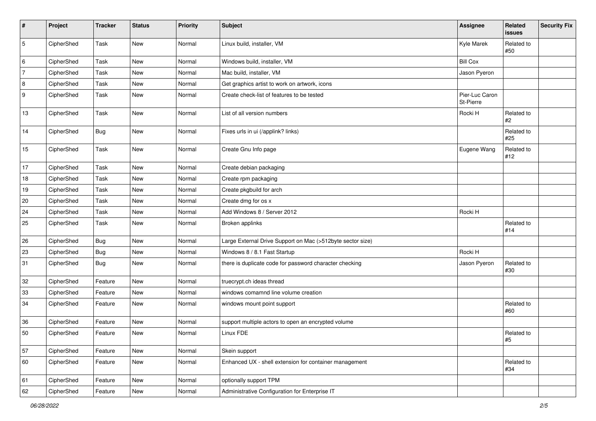| #              | Project    | <b>Tracker</b> | <b>Status</b> | <b>Priority</b> | Subject                                                    | Assignee                    | Related<br>issues | Security Fix |
|----------------|------------|----------------|---------------|-----------------|------------------------------------------------------------|-----------------------------|-------------------|--------------|
| $\mathbf 5$    | CipherShed | Task           | New           | Normal          | Linux build, installer, VM                                 | Kyle Marek                  | Related to<br>#50 |              |
| 6              | CipherShed | Task           | New           | Normal          | Windows build, installer, VM                               | <b>Bill Cox</b>             |                   |              |
| $\overline{7}$ | CipherShed | Task           | New           | Normal          | Mac build, installer, VM                                   | Jason Pyeron                |                   |              |
| 8              | CipherShed | Task           | New           | Normal          | Get graphics artist to work on artwork, icons              |                             |                   |              |
| 9              | CipherShed | Task           | New           | Normal          | Create check-list of features to be tested                 | Pier-Luc Caron<br>St-Pierre |                   |              |
| 13             | CipherShed | Task           | New           | Normal          | List of all version numbers                                | Rocki H                     | Related to<br>#2  |              |
| 14             | CipherShed | <b>Bug</b>     | New           | Normal          | Fixes urls in ui (/applink? links)                         |                             | Related to<br>#25 |              |
| 15             | CipherShed | Task           | New           | Normal          | Create Gnu Info page                                       | Eugene Wang                 | Related to<br>#12 |              |
| 17             | CipherShed | Task           | New           | Normal          | Create debian packaging                                    |                             |                   |              |
| 18             | CipherShed | Task           | New           | Normal          | Create rpm packaging                                       |                             |                   |              |
| 19             | CipherShed | Task           | New           | Normal          | Create pkgbuild for arch                                   |                             |                   |              |
| $20\,$         | CipherShed | Task           | New           | Normal          | Create dmg for os x                                        |                             |                   |              |
| 24             | CipherShed | Task           | New           | Normal          | Add Windows 8 / Server 2012                                | Rocki H                     |                   |              |
| 25             | CipherShed | Task           | New           | Normal          | Broken applinks                                            |                             | Related to<br>#14 |              |
| 26             | CipherShed | Bug            | New           | Normal          | Large External Drive Support on Mac (>512byte sector size) |                             |                   |              |
| 23             | CipherShed | <b>Bug</b>     | New           | Normal          | Windows 8 / 8.1 Fast Startup                               | Rocki H                     |                   |              |
| 31             | CipherShed | <b>Bug</b>     | New           | Normal          | there is duplicate code for password character checking    | Jason Pyeron                | Related to<br>#30 |              |
| 32             | CipherShed | Feature        | New           | Normal          | truecrypt.ch ideas thread                                  |                             |                   |              |
| 33             | CipherShed | Feature        | New           | Normal          | windows comamnd line volume creation                       |                             |                   |              |
| 34             | CipherShed | Feature        | New           | Normal          | windows mount point support                                |                             | Related to<br>#60 |              |
| 36             | CipherShed | Feature        | New           | Normal          | support multiple actors to open an encrypted volume        |                             |                   |              |
| 50             | CipherShed | Feature        | New           | Normal          | Linux FDE                                                  |                             | Related to<br>#5  |              |
| 57             | CipherShed | Feature        | New           | Normal          | Skein support                                              |                             |                   |              |
| 60             | CipherShed | Feature        | New           | Normal          | Enhanced UX - shell extension for container management     |                             | Related to<br>#34 |              |
| 61             | CipherShed | Feature        | New           | Normal          | optionally support TPM                                     |                             |                   |              |
| 62             | CipherShed | Feature        | New           | Normal          | Administrative Configuration for Enterprise IT             |                             |                   |              |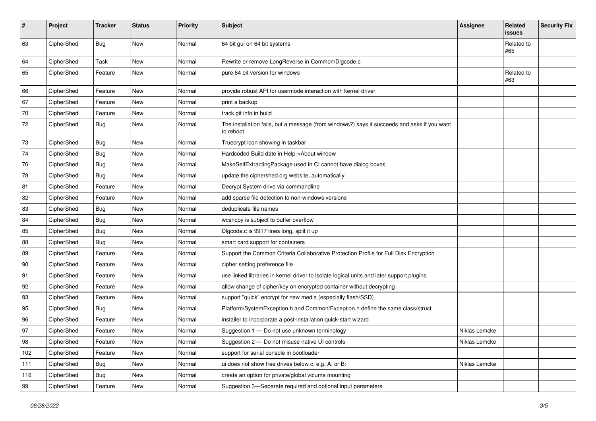| #   | Project    | <b>Tracker</b> | <b>Status</b> | <b>Priority</b> | <b>Subject</b>                                                                                           | <b>Assignee</b> | Related<br>issues | <b>Security Fix</b> |
|-----|------------|----------------|---------------|-----------------|----------------------------------------------------------------------------------------------------------|-----------------|-------------------|---------------------|
| 63  | CipherShed | <b>Bug</b>     | <b>New</b>    | Normal          | 64 bit gui on 64 bit systems                                                                             |                 | Related to<br>#65 |                     |
| 64  | CipherShed | Task           | New           | Normal          | Rewrite or remove LongReverse in Common/DIgcode.c                                                        |                 |                   |                     |
| 65  | CipherShed | Feature        | New           | Normal          | pure 64 bit version for windows                                                                          |                 | Related to<br>#63 |                     |
| 66  | CipherShed | Feature        | <b>New</b>    | Normal          | provide robust API for usermode interaction with kernel driver                                           |                 |                   |                     |
| 67  | CipherShed | Feature        | New           | Normal          | print a backup                                                                                           |                 |                   |                     |
| 70  | CipherShed | Feature        | New           | Normal          | track git info in build                                                                                  |                 |                   |                     |
| 72  | CipherShed | Bug            | New           | Normal          | The installation fails, but a message (from windows?) says it succeeds and asks if you want<br>to reboot |                 |                   |                     |
| 73  | CipherShed | <b>Bug</b>     | New           | Normal          | Truecrypt icon showing in taskbar                                                                        |                 |                   |                     |
| 74  | CipherShed | <b>Bug</b>     | New           | Normal          | Hardcoded Build date in Help->About window                                                               |                 |                   |                     |
| 76  | CipherShed | Bug            | New           | Normal          | MakeSelfExtractingPackage used in CI cannot have dialog boxes                                            |                 |                   |                     |
| 78  | CipherShed | <b>Bug</b>     | New           | Normal          | update the ciphershed.org website, automatically                                                         |                 |                   |                     |
| 81  | CipherShed | Feature        | New           | Normal          | Decrypt System drive via commandline                                                                     |                 |                   |                     |
| 82  | CipherShed | Feature        | New           | Normal          | add sparse file detection to non-windows versions                                                        |                 |                   |                     |
| 83  | CipherShed | <b>Bug</b>     | New           | Normal          | deduplicate file names                                                                                   |                 |                   |                     |
| 84  | CipherShed | <b>Bug</b>     | New           | Normal          | wcsncpy is subject to buffer overflow                                                                    |                 |                   |                     |
| 85  | CipherShed | <b>Bug</b>     | New           | Normal          | Digcode.c is 9917 lines long, split it up                                                                |                 |                   |                     |
| 88  | CipherShed | <b>Bug</b>     | New           | Normal          | smart card support for containers                                                                        |                 |                   |                     |
| 89  | CipherShed | Feature        | New           | Normal          | Support the Common Criteria Collaborative Protection Profile for Full Disk Encryption                    |                 |                   |                     |
| 90  | CipherShed | Feature        | New           | Normal          | cipher setting preference file                                                                           |                 |                   |                     |
| 91  | CipherShed | Feature        | New           | Normal          | use linked libraries in kernel driver to isolate logical units and later support plugins                 |                 |                   |                     |
| 92  | CipherShed | Feature        | New           | Normal          | allow change of cipher/key on encrypted container without decrypting                                     |                 |                   |                     |
| 93  | CipherShed | Feature        | New           | Normal          | support "quick" encrypt for new media (especially flash/SSD)                                             |                 |                   |                     |
| 95  | CipherShed | Bug            | New           | Normal          | Platform/SystemException.h and Common/Exception.h define the same class/struct                           |                 |                   |                     |
| 96  | CipherShed | Feature        | New           | Normal          | installer to incorporate a post-installation quick-start wizard                                          |                 |                   |                     |
| 97  | CipherShed | Feature        | New           | Normal          | Suggestion 1 - Do not use unknown terminology                                                            | Niklas Lemcke   |                   |                     |
| 98  | CipherShed | Feature        | New           | Normal          | Suggestion 2 - Do not misuse native UI controls                                                          | Niklas Lemcke   |                   |                     |
| 102 | CipherShed | Feature        | New           | Normal          | support for serial console in bootloader                                                                 |                 |                   |                     |
| 111 | CipherShed | Bug            | New           | Normal          | ui does not show free drives below c: e.g. A: or B:                                                      | Niklas Lemcke   |                   |                     |
| 116 | CipherShed | <b>Bug</b>     | New           | Normal          | create an option for private/global volume mounting                                                      |                 |                   |                     |
| 99  | CipherShed | Feature        | New           | Normal          | Suggestion 3-Separate required and optional input parameters                                             |                 |                   |                     |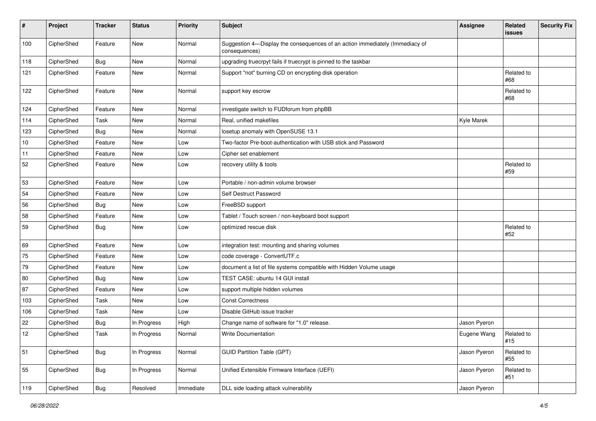| #   | Project    | <b>Tracker</b> | <b>Status</b> | <b>Priority</b> | <b>Subject</b>                                                                                | <b>Assignee</b> | Related<br>issues | <b>Security Fix</b> |
|-----|------------|----------------|---------------|-----------------|-----------------------------------------------------------------------------------------------|-----------------|-------------------|---------------------|
| 100 | CipherShed | Feature        | New           | Normal          | Suggestion 4-Display the consequences of an action immediately (Immediacy of<br>consequences) |                 |                   |                     |
| 118 | CipherShed | <b>Bug</b>     | <b>New</b>    | Normal          | upgrading truecrpyt fails if truecrypt is pinned to the taskbar                               |                 |                   |                     |
| 121 | CipherShed | Feature        | New           | Normal          | Support "not" burning CD on encrypting disk operation                                         |                 | Related to<br>#68 |                     |
| 122 | CipherShed | Feature        | New           | Normal          | support key escrow                                                                            |                 | Related to<br>#68 |                     |
| 124 | CipherShed | Feature        | <b>New</b>    | Normal          | investigate switch to FUDforum from phpBB                                                     |                 |                   |                     |
| 114 | CipherShed | Task           | New           | Normal          | Real, unified makefiles                                                                       | Kyle Marek      |                   |                     |
| 123 | CipherShed | Bug            | New           | Normal          | losetup anomaly with OpenSUSE 13.1                                                            |                 |                   |                     |
| 10  | CipherShed | Feature        | <b>New</b>    | Low             | Two-factor Pre-boot-authentication with USB stick and Password                                |                 |                   |                     |
| 11  | CipherShed | Feature        | New           | Low             | Cipher set enablement                                                                         |                 |                   |                     |
| 52  | CipherShed | Feature        | New           | Low             | recovery utility & tools                                                                      |                 | Related to<br>#59 |                     |
| 53  | CipherShed | Feature        | New           | Low             | Portable / non-admin volume browser                                                           |                 |                   |                     |
| 54  | CipherShed | Feature        | <b>New</b>    | Low             | Self Destruct Password                                                                        |                 |                   |                     |
| 56  | CipherShed | Bug            | New           | Low             | FreeBSD support                                                                               |                 |                   |                     |
| 58  | CipherShed | Feature        | New           | Low             | Tablet / Touch screen / non-keyboard boot support                                             |                 |                   |                     |
| 59  | CipherShed | <b>Bug</b>     | <b>New</b>    | Low             | optimized rescue disk                                                                         |                 | Related to<br>#52 |                     |
| 69  | CipherShed | Feature        | New           | Low             | integration test: mounting and sharing volumes                                                |                 |                   |                     |
| 75  | CipherShed | Feature        | New           | Low             | code coverage - ConvertUTF.c                                                                  |                 |                   |                     |
| 79  | CipherShed | Feature        | New           | Low             | document a list of file systems compatible with Hidden Volume usage                           |                 |                   |                     |
| 80  | CipherShed | <b>Bug</b>     | New           | Low             | TEST CASE: ubuntu 14 GUI install                                                              |                 |                   |                     |
| 87  | CipherShed | Feature        | <b>New</b>    | Low             | support multiple hidden volumes                                                               |                 |                   |                     |
| 103 | CipherShed | Task           | New           | Low             | <b>Const Correctness</b>                                                                      |                 |                   |                     |
| 106 | CipherShed | Task           | <b>New</b>    | Low             | Disable GitHub issue tracker                                                                  |                 |                   |                     |
| 22  | CipherShed | <b>Bug</b>     | In Progress   | High            | Change name of software for "1.0" release.                                                    | Jason Pyeron    |                   |                     |
| 12  | CipherShed | Task           | In Progress   | Normal          | <b>Write Documentation</b>                                                                    | Eugene Wang     | Related to<br>#15 |                     |
| 51  | CipherShed | <b>Bug</b>     | In Progress   | Normal          | <b>GUID Partition Table (GPT)</b>                                                             | Jason Pyeron    | Related to<br>#55 |                     |
| 55  | CipherShed | Bug            | In Progress   | Normal          | Unified Extensible Firmware Interface (UEFI)                                                  | Jason Pyeron    | Related to<br>#51 |                     |
| 119 | CipherShed | <b>Bug</b>     | Resolved      | Immediate       | DLL side loading attack vulnerability                                                         | Jason Pyeron    |                   |                     |